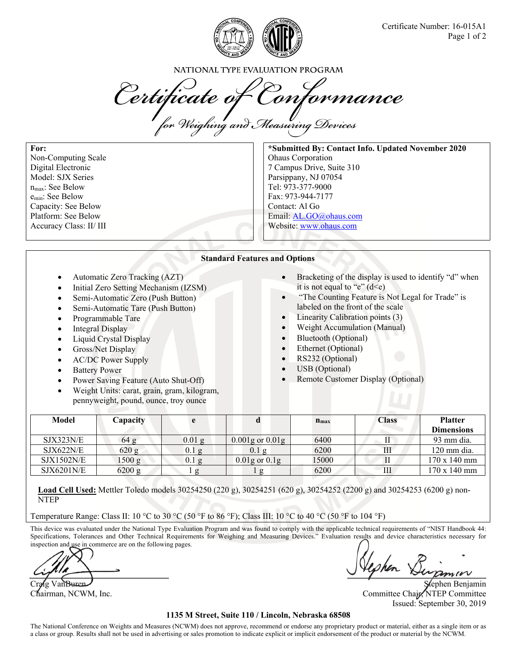

NATIONAL TYPE EVALUATION PROGRAM

Certificate of Conformance

**For:**  Non-Computing Scale Digital Electronic Model: SJX Series nmax: See Below emin: See Below Capacity: See Below Platform: See Below Accuracy Class: II/ III

**\*Submitted By: Contact Info. Updated November 2020**  Ohaus Corporation 7 Campus Drive, Suite 310 Parsippany, NJ 07054 Tel: 973-377-9000 Fax: 973-944-7177 Contact: Al Go Email: AL.GO@ohaus.com Website: www.ohaus.com

## **Standard Features and Options**

- Automatic Zero Tracking (AZT)
- Initial Zero Setting Mechanism (IZSM)
- Semi-Automatic Zero (Push Button)
- Semi-Automatic Tare (Push Button)
- Programmable Tare
- Integral Display
- Liquid Crystal Display
- Gross/Net Display
- AC/DC Power Supply
- Battery Power
- Power Saving Feature (Auto Shut-Off)
- Weight Units: carat, grain, gram, kilogram, pennyweight, pound, ounce, troy ounce
- Bracketing of the display is used to identify "d" when it is not equal to "e"  $(d \leq e)$
- "The Counting Feature is Not Legal for Trade" is labeled on the front of the scale
- Linearity Calibration points (3)
- Weight Accumulation (Manual)
- Bluetooth (Optional)
- Ethernet (Optional)
- RS232 (Optional)
- USB (Optional)
- Remote Customer Display (Optional)

| Model      | $\Box$ apacity | e        |                       | $n_{\rm max}$ | <b>Class</b> | <b>Platter</b><br><b>Dimensions</b> |
|------------|----------------|----------|-----------------------|---------------|--------------|-------------------------------------|
| SJX323N/E  | 64 g           | $0.01$ g | $0.001$ g or $0.01$ g | 6400          |              | 93 mm dia.                          |
| SJX622N/E  | 620 g          | $0.1$ g  | $0.1\ \mathrm{g}$     | 6200          | III          | 120 mm dia.                         |
| SJX1502N/E | 1500 g         | 0.1g     | $0.01$ g or $0.1$ g   | 15000         |              | 170 x 140 mm                        |
| SJX6201N/E | 6200 g         |          |                       | 6200          | Ш            | 170 x 140 mm                        |

**Load Cell Used:** Mettler Toledo models 30254250 (220 g), 30254251 (620 g), 30254252 (2200 g) and 30254253 (6200 g) non-NTEP

Temperature Range: Class II: 10 °C to 30 °C (50 °F to 86 °F); Class III: 10 °C to 40 °C (50 °F to 104 °F)

This device was evaluated under the National Type Evaluation Program and was found to comply with the applicable technical requirements of "NIST Handbook 44: Specifications, Tolerances and Other Technical Requirements for Weighing and Measuring Devices." Evaluation results and device characteristics necessary for inspection and use in commerce are on the following pages.

of the Van Buren Stephen Benjamin Stephen Benjamin

Chairman, NCWM, Inc. **Committee Chair, NTEP Committee** Chair, NTEP Committee Chair, NTEP Committee Issued: September 30, 2019

## **1135 M Street, Suite 110 / Lincoln, Nebraska 68508**

The National Conference on Weights and Measures (NCWM) does not approve, recommend or endorse any proprietary product or material, either as a single item or as a class or group. Results shall not be used in advertising or sales promotion to indicate explicit or implicit endorsement of the product or material by the NCWM.